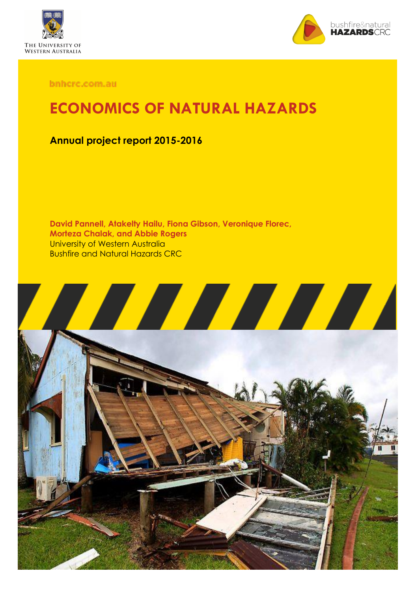



bnhcrc.com.au

## **ECONOMICS OF NATURAL HAZARDS**

### **Annual project report 2015-2016**

**David Pannell, Atakelty Hailu, Fiona Gibson, Veronique Florec, Morteza Chalak, and Abbie Rogers** University of Western Australia Bushfire and Natural Hazards CRC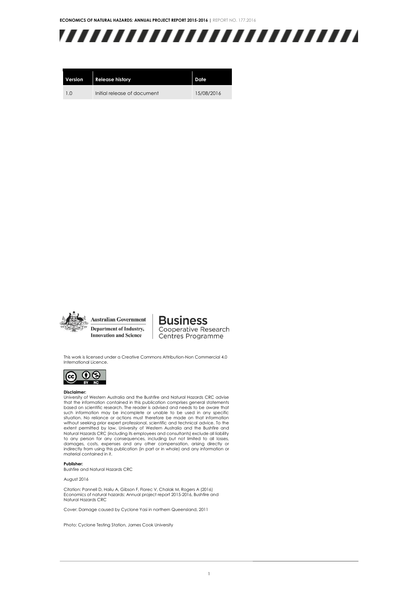

| Version        | <b>Release history</b>      | Date       |
|----------------|-----------------------------|------------|
| 1 <sub>0</sub> | Initial release of document | 15/08/2016 |



**Business** Cooperative Research Centres Programme

This work is licensed under a Creative Commons Attribution-Non Commercial 4.0 International Licence.



#### **Disclaimer:**

University of Western Australia and the Bushfire and Natural Hazards CRC advise<br>that the information contained in this publication comprises general statements<br>based on scientific research. The reader is advised and needs without seeking prior expert professional, scientific and technical advice. To the extent permitted by law, University of Western Australia and the Bushfire and Natural Hazards CRC (including its employees and consultants) exclude all liability to any person for any consequences, including but not limited to all losses, damages, costs, expenses and any other compensation, arising directly or indirectly from using this publication (in part or in whole) and any information or material contained in it.

#### **Publisher:**

Bushfire and Natural Hazards CRC

August 2016

Citation: Pannell D, Hailu A, Gibson F, Florec V, Chalak M, Rogers A (2016) Economics of natural hazards: Annual project report 2015-2016, Bushfire and Natural Hazards CRC

Cover: Damage caused by Cyclone Yasi in northern Queensland, 2011

Photo: Cyclone Testing Station, James Cook University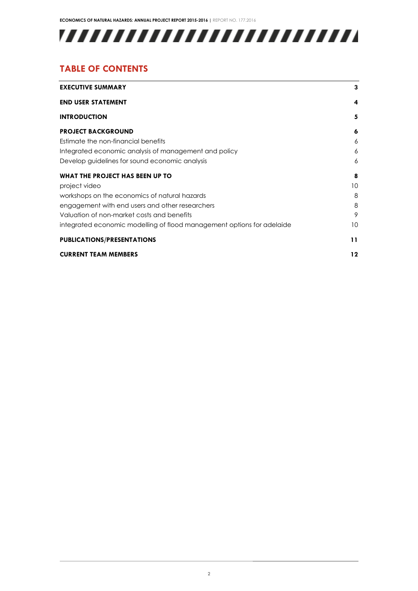## 

### **TABLE OF CONTENTS**

| <b>EXECUTIVE SUMMARY</b>                                               | 3               |
|------------------------------------------------------------------------|-----------------|
| <b>END USER STATEMENT</b>                                              | 4               |
| <b>INTRODUCTION</b>                                                    | 5               |
| <b>PROJECT BACKGROUND</b>                                              | 6               |
| Estimate the non-financial benefits                                    | 6               |
| Integrated economic analysis of management and policy                  | 6               |
| Develop guidelines for sound economic analysis                         | 6               |
| WHAT THE PROJECT HAS BEEN UP TO                                        | 8               |
| project video                                                          | 10              |
| workshops on the economics of natural hazards                          | 8               |
| engagement with end users and other researchers                        | 8               |
| Valuation of non-market costs and benefits                             | 9               |
| integrated economic modelling of flood management options for adelaide | 10 <sup>°</sup> |
| <b>PUBLICATIONS/PRESENTATIONS</b>                                      | 11              |
| <b>CURRENT TEAM MEMBERS</b>                                            | 12              |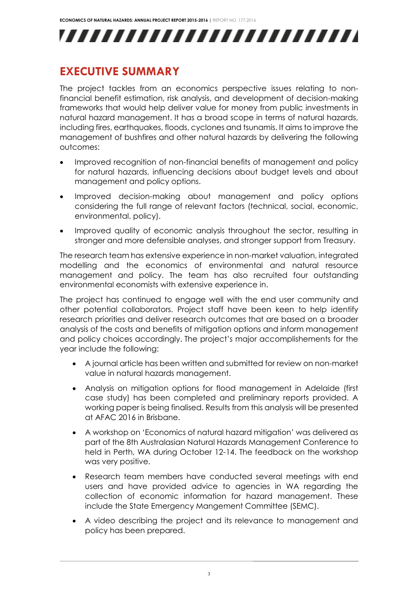## **EXECUTIVE SUMMARY**

The project tackles from an economics perspective issues relating to nonfinancial benefit estimation, risk analysis, and development of decision-making frameworks that would help deliver value for money from public investments in natural hazard management. It has a broad scope in terms of natural hazards, including fires, earthquakes, floods, cyclones and tsunamis. It aims to improve the management of bushfires and other natural hazards by delivering the following outcomes:

- Improved recognition of non-financial benefits of management and policy for natural hazards, influencing decisions about budget levels and about management and policy options.
- Improved decision-making about management and policy options considering the full range of relevant factors (technical, social, economic, environmental, policy).
- Improved quality of economic analysis throughout the sector, resulting in stronger and more defensible analyses, and stronger support from Treasury.

The research team has extensive experience in non-market valuation, integrated modelling and the economics of environmental and natural resource management and policy. The team has also recruited four outstanding environmental economists with extensive experience in.

The project has continued to engage well with the end user community and other potential collaborators. Project staff have been keen to help identify research priorities and deliver research outcomes that are based on a broader analysis of the costs and benefits of mitigation options and inform management and policy choices accordingly. The project's major accomplishements for the year include the following:

- A journal article has been written and submitted for review on non-market value in natural hazards management.
- Analysis on mitigation options for flood management in Adelaide (first case study) has been completed and preliminary reports provided. A working paper is being finalised. Results from this analysis will be presented at AFAC 2016 in Brisbane.
- A workshop on 'Economics of natural hazard mitigation' was delivered as part of the 8th Australasian Natural Hazards Management Conference to held in Perth, WA during October 12-14. The feedback on the workshop was very positive.
- Research team members have conducted several meetings with end users and have provided advice to agencies in WA regarding the collection of economic information for hazard management. These include the State Emergency Mangement Committee (SEMC).
- A video describing the project and its relevance to management and policy has been prepared.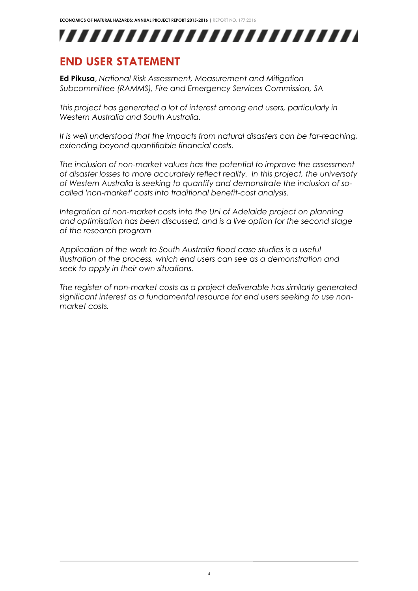### **END USER STATEMENT**

**Ed Pikusa**, *National Risk Assessment, Measurement and Mitigation Subcommittee (RAMMS), Fire and Emergency Services Commission, SA*

*This project has generated a lot of interest among end users, particularly in Western Australia and South Australia.* 

*It is well understood that the impacts from natural disasters can be far-reaching, extending beyond quantifiable financial costs.* 

*The inclusion of non-market values has the potential to improve the assessment of disaster losses to more accurately reflect reality. In this project, the universoty of Western Australia is seeking to quantify and demonstrate the inclusion of socalled 'non-market' costs into traditional benefit-cost analysis.* 

*Integration of non-market costs into the Uni of Adelaide project on planning and optimisation has been discussed, and is a live option for the second stage of the research program*

*Application of the work to South Australia flood case studies is a useful illustration of the process, which end users can see as a demonstration and seek to apply in their own situations.*

*The register of non-market costs as a project deliverable has similarly generated significant interest as a fundamental resource for end users seeking to use nonmarket costs.*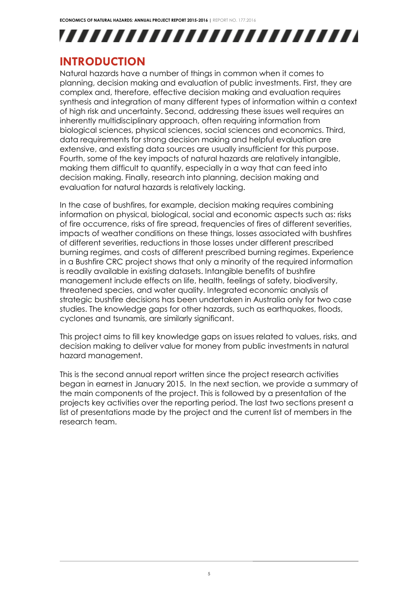### **INTRODUCTION**

Natural hazards have a number of things in common when it comes to planning, decision making and evaluation of public investments. First, they are complex and, therefore, effective decision making and evaluation requires synthesis and integration of many different types of information within a context of high risk and uncertainty. Second, addressing these issues well requires an inherently multidisciplinary approach, often requiring information from biological sciences, physical sciences, social sciences and economics. Third, data requirements for strong decision making and helpful evaluation are extensive, and existing data sources are usually insufficient for this purpose. Fourth, some of the key impacts of natural hazards are relatively intangible, making them difficult to quantify, especially in a way that can feed into decision making. Finally, research into planning, decision making and evaluation for natural hazards is relatively lacking.

In the case of bushfires, for example, decision making requires combining information on physical, biological, social and economic aspects such as: risks of fire occurrence, risks of fire spread, frequencies of fires of different severities, impacts of weather conditions on these things, losses associated with bushfires of different severities, reductions in those losses under different prescribed burning regimes, and costs of different prescribed burning regimes. Experience in a Bushfire CRC project shows that only a minority of the required information is readily available in existing datasets. Intangible benefits of bushfire management include effects on life, health, feelings of safety, biodiversity, threatened species, and water quality. Integrated economic analysis of strategic bushfire decisions has been undertaken in Australia only for two case studies. The knowledge gaps for other hazards, such as earthquakes, floods, cyclones and tsunamis, are similarly significant.

This project aims to fill key knowledge gaps on issues related to values, risks, and decision making to deliver value for money from public investments in natural hazard management.

This is the second annual report written since the project research activities began in earnest in January 2015. In the next section, we provide a summary of the main components of the project. This is followed by a presentation of the projects key activities over the reporting period. The last two sections present a list of presentations made by the project and the current list of members in the research team.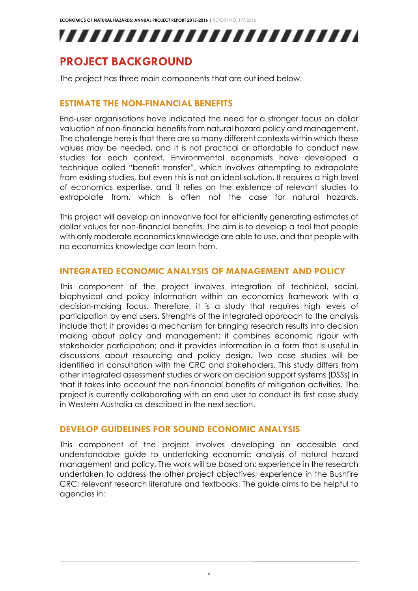,,,,,,,,,,,,,,,,,,,,,,,,,

## **PROJECT BACKGROUND**

The project has three main components that are outlined below.

#### **ESTIMATE THE NON-FINANCIAL BENEFITS**

End-user organisations have indicated the need for a stronger focus on dollar valuation of non-financial benefits from natural hazard policy and management. The challenge here is that there are so many different contexts within which these values may be needed, and it is not practical or affordable to conduct new studies for each context. Environmental economists have developed a technique called "benefit transfer", which involves attempting to extrapolate from existing studies, but even this is not an ideal solution. It requires a high level of economics expertise, and it relies on the existence of relevant studies to extrapolate from, which is often not the case for natural hazards.

This project will develop an innovative tool for efficiently generating estimates of dollar values for non-financial benefits. The aim is to develop a tool that people with only moderate economics knowledge are able to use, and that people with no economics knowledge can learn from.

#### **INTEGRATED ECONOMIC ANALYSIS OF MANAGEMENT AND POLICY**

This component of the project involves integration of technical, social, biophysical and policy information within an economics framework with a decision-making focus. Therefore, it is a study that requires high levels of participation by end users. Strengths of the integrated approach to the analysis include that: it provides a mechanism for bringing research results into decision making about policy and management; it combines economic rigour with stakeholder participation; and it provides information in a form that is useful in discussions about resourcing and policy design. Two case studies will be identified in consultation with the CRC and stakeholders. This study differs from other integrated assessment studies or work on decision support systems (DSSs) in that it takes into account the non-financial benefits of mitigation activities. The project is currently collaborating with an end user to conduct its first case study in Western Australia as described in the next section.

#### **DEVELOP GUIDELINES FOR SOUND ECONOMIC ANALYSIS**

This component of the project involves developing an accessible and understandable guide to undertaking economic analysis of natural hazard management and policy. The work will be based on: experience in the research undertaken to address the other project objectives; experience in the Bushfire CRC; relevant research literature and textbooks. The guide aims to be helpful to agencies in: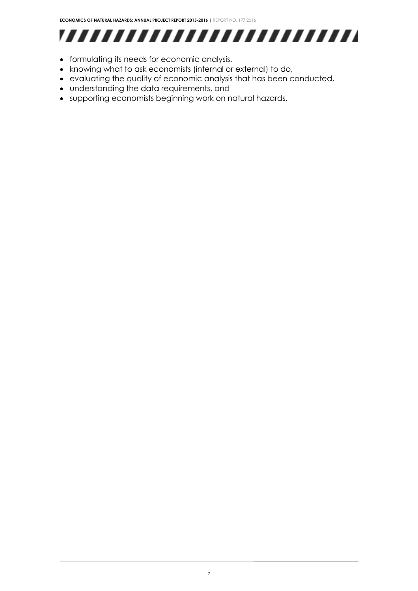## 

- formulating its needs for economic analysis,
- knowing what to ask economists (internal or external) to do,
- evaluating the quality of economic analysis that has been conducted,
- understanding the data requirements, and
- supporting economists beginning work on natural hazards.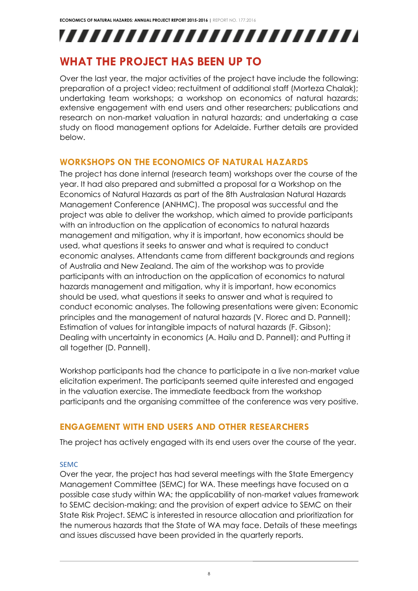## **WHAT THE PROJECT HAS BEEN UP TO**

Over the last year, the major activities of the project have include the following: preparation of a project video; rectuitment of additional staff (Morteza Chalak); undertaking team workshops; a workshop on economics of natural hazards; extensive engagement with end users and other researchers; publications and research on non-market valuation in natural hazards; and undertaking a case study on flood management options for Adelaide. Further details are provided below.

#### **WORKSHOPS ON THE ECONOMICS OF NATURAL HAZARDS**

The project has done internal (research team) workshops over the course of the year. It had also prepared and submitted a proposal for a Workshop on the Economics of Natural Hazards as part of the 8th Australasian Natural Hazards Management Conference (ANHMC). The proposal was successful and the project was able to deliver the workshop, which aimed to provide participants with an introduction on the application of economics to natural hazards management and mitigation, why it is important, how economics should be used, what questions it seeks to answer and what is required to conduct economic analyses. Attendants came from different backgrounds and regions of Australia and New Zealand. The aim of the workshop was to provide participants with an introduction on the application of economics to natural hazards management and mitigation, why it is important, how economics should be used, what questions it seeks to answer and what is required to conduct economic analyses. The following presentations were given: Economic principles and the management of natural hazards (V. Florec and D. Pannell); Estimation of values for intangible impacts of natural hazards (F. Gibson); Dealing with uncertainty in economics (A. Hailu and D. Pannell); and Putting it all together (D. Pannell).

Workshop participants had the chance to participate in a live non-market value elicitation experiment. The participants seemed quite interested and engaged in the valuation exercise. The immediate feedback from the workshop participants and the organising committee of the conference was very positive.

#### **ENGAGEMENT WITH END USERS AND OTHER RESEARCHERS**

The project has actively engaged with its end users over the course of the year.

#### SEMC

Over the year, the project has had several meetings with the State Emergency Management Committee (SEMC) for WA. These meetings have focused on a possible case study within WA; the applicability of non-market values framework to SEMC decision-making; and the provision of expert advice to SEMC on their State Risk Project. SEMC is interested in resource allocation and prioritization for the numerous hazards that the State of WA may face. Details of these meetings and issues discussed have been provided in the quarterly reports.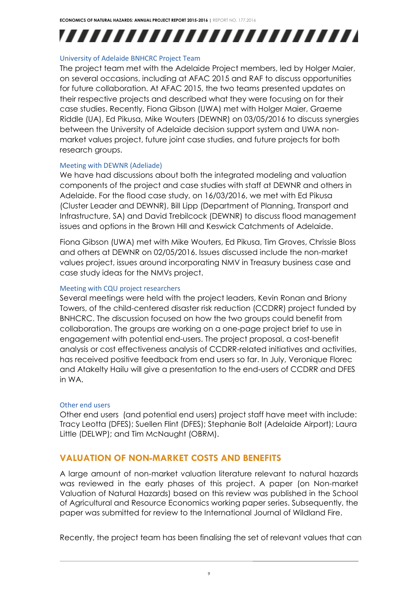#### University of Adelaide BNHCRC Project Team

The project team met with the Adelaide Project members, led by Holger Maier, on several occasions, including at AFAC 2015 and RAF to discuss opportunities for future collaboration. At AFAC 2015, the two teams presented updates on their respective projects and described what they were focusing on for their case studies. Recently, Fiona Gibson (UWA) met with Holger Maier, Graeme Riddle (UA), Ed Pikusa, Mike Wouters (DEWNR) on 03/05/2016 to discuss synergies between the University of Adelaide decision support system and UWA nonmarket values project, future joint case studies, and future projects for both research groups.

#### Meeting with DEWNR (Adeliade)

We have had discussions about both the integrated modeling and valuation components of the project and case studies with staff at DEWNR and others in Adelaide. For the flood case study, on 16/03/2016, we met with Ed Pikusa (Cluster Leader and DEWNR), Bill Lipp (Department of Planning, Transport and Infrastructure, SA) and David Trebilcock (DEWNR) to discuss flood management issues and options in the Brown Hill and Keswick Catchments of Adelaide.

Fiona Gibson (UWA) met with Mike Wouters, Ed Pikusa, Tim Groves, Chrissie Bloss and others at DEWNR on 02/05/2016. Issues discussed include the non-market values project, issues around incorporating NMV in Treasury business case and case study ideas for the NMVs project.

#### Meeting with CQU project researchers

Several meetings were held with the project leaders, Kevin Ronan and Briony Towers, of the child-centered disaster risk reduction (CCDRR) project funded by BNHCRC. The discussion focused on how the two groups could benefit from collaboration. The groups are working on a one-page project brief to use in engagement with potential end-users. The project proposal, a cost-benefit analysis or cost effectiveness analysis of CCDRR-related initiatives and activities, has received positive feedback from end users so far. In July, Veronique Florec and Atakelty Hailu will give a presentation to the end-users of CCDRR and DFES in WA.

#### Other end users

Other end users (and potential end users) project staff have meet with include: Tracy Leotta (DFES); Suellen Flint (DFES); Stephanie Bolt (Adelaide Airport); Laura Little (DELWP); and Tim McNaught (OBRM).

#### **VALUATION OF NON-MARKET COSTS AND BENEFITS**

A large amount of non-market valuation literature relevant to natural hazards was reviewed in the early phases of this project. A paper (on Non-market Valuation of Natural Hazards) based on this review was published in the School of Agricultural and Resource Economics working paper series. Subsequently, the paper was submitted for review to the International Journal of Wildland Fire.

Recently, the project team has been finalising the set of relevant values that can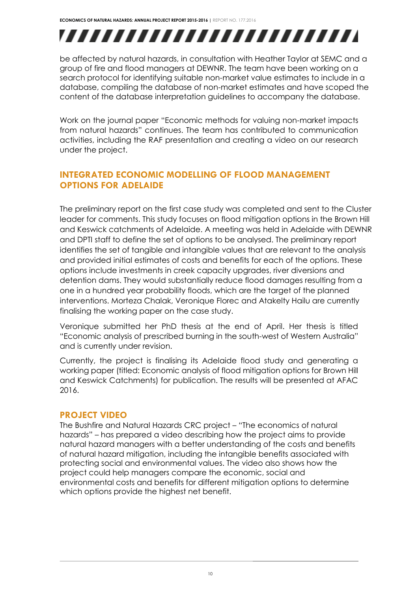# ,,,,,,,,,,,,,,,,,,,,,,,,,

be affected by natural hazards, in consultation with Heather Taylor at SEMC and a group of fire and flood managers at DEWNR. The team have been working on a search protocol for identifying suitable non-market value estimates to include in a database, compiling the database of non-market estimates and have scoped the content of the database interpretation guidelines to accompany the database.

Work on the journal paper "Economic methods for valuing non-market impacts from natural hazards" continues. The team has contributed to communication activities, including the RAF presentation and creating a video on our research under the project.

### **INTEGRATED ECONOMIC MODELLING OF FLOOD MANAGEMENT OPTIONS FOR ADELAIDE**

The preliminary report on the first case study was completed and sent to the Cluster leader for comments. This study focuses on flood mitigation options in the Brown Hill and Keswick catchments of Adelaide. A meeting was held in Adelaide with DEWNR and DPTI staff to define the set of options to be analysed. The preliminary report identifies the set of tangible and intangible values that are relevant to the analysis and provided initial estimates of costs and benefits for each of the options. These options include investments in creek capacity upgrades, river diversions and detention dams. They would substantially reduce flood damages resulting from a one in a hundred year probability floods, which are the target of the planned interventions. Morteza Chalak, Veronique Florec and Atakelty Hailu are currently finalising the working paper on the case study.

Veronique submitted her PhD thesis at the end of April. Her thesis is titled "Economic analysis of prescribed burning in the south-west of Western Australia" and is currently under revision.

Currently, the project is finalising its Adelaide flood study and generating a working paper (titled: Economic analysis of flood mitigation options for Brown Hill and Keswick Catchments) for publication. The results will be presented at AFAC 2016.

#### **PROJECT VIDEO**

The Bushfire and Natural Hazards CRC project – "The economics of natural hazards" – has prepared a video describing how the project aims to provide natural hazard managers with a better understanding of the costs and benefits of natural hazard mitigation, including the intangible benefits associated with protecting social and environmental values. The video also shows how the project could help managers compare the economic, social and environmental costs and benefits for different mitigation options to determine which options provide the highest net benefit.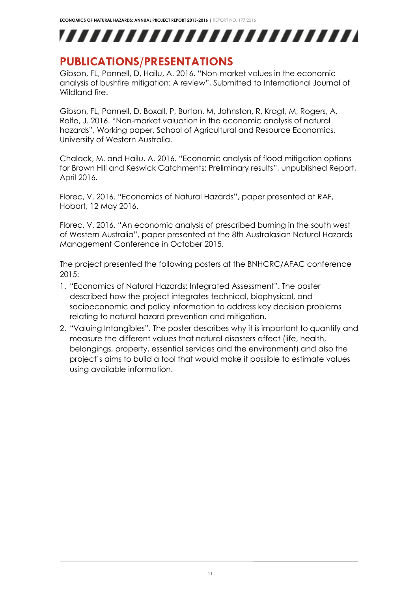## **PUBLICATIONS/PRESENTATIONS**

Gibson, FL, Pannell, D, Hailu, A. 2016. "Non-market values in the economic analysis of bushfire mitigation: A review", Submitted to International Journal of Wildland fire.

Gibson, FL, Pannell, D, Boxall, P, Burton, M, Johnston, R, Kragt, M, Rogers, A, Rolfe, J. 2016. "Non-market valuation in the economic analysis of natural hazards", Working paper, School of Agricultural and Resource Economics, University of Western Australia.

Chalack, M. and Hailu, A. 2016. "Economic analysis of flood mitigation options for Brown Hill and Keswick Catchments: Preliminary results", unpublished Report, April 2016.

Florec, V. 2016. "Economics of Natural Hazards", paper presented at RAF, Hobart, 12 May 2016.

Florec, V. 2016. "An economic analysis of prescribed burning in the south west of Western Australia", paper presented at the 8th Australasian Natural Hazards Management Conference in October 2015.

The project presented the following posters at the BNHCRC/AFAC conference 2015:

- 1. "Economics of Natural Hazards: Integrated Assessment". The poster described how the project integrates technical, biophysical, and socioeconomic and policy information to address key decision problems relating to natural hazard prevention and mitigation.
- 2. "Valuing Intangibles". The poster describes why it is important to quantify and measure the different values that natural disasters affect (life, health, belongings, property, essential services and the environment) and also the project's aims to build a tool that would make it possible to estimate values using available information.